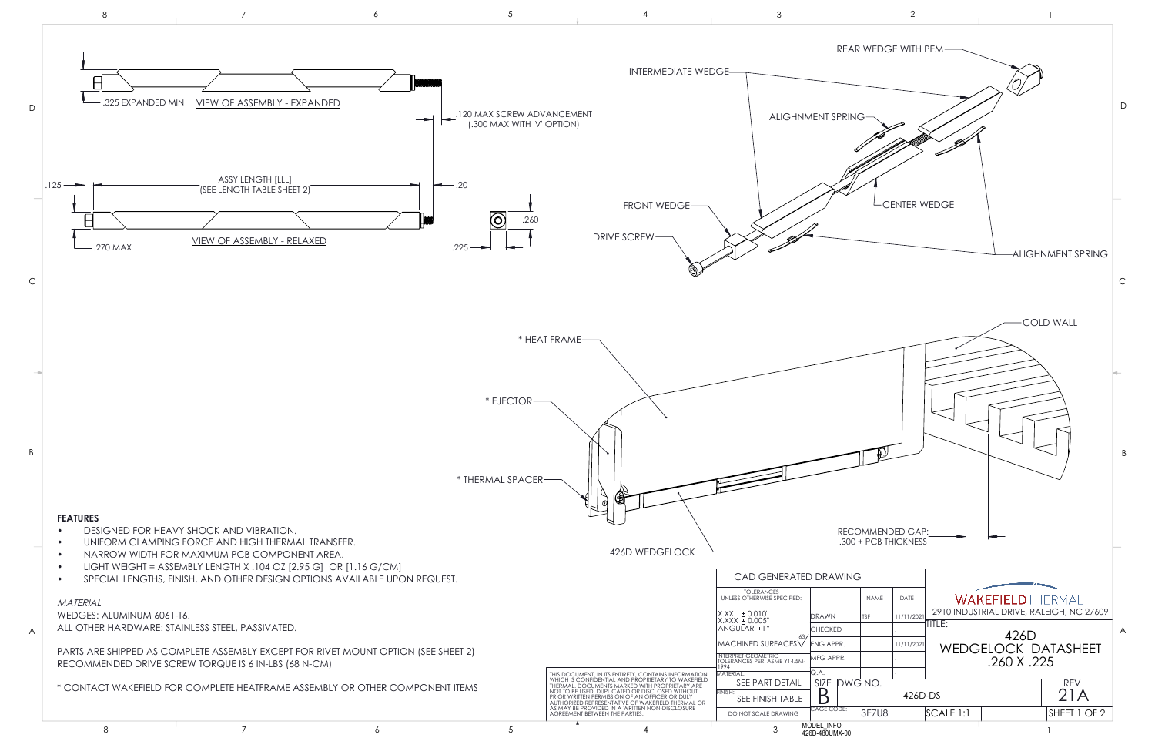